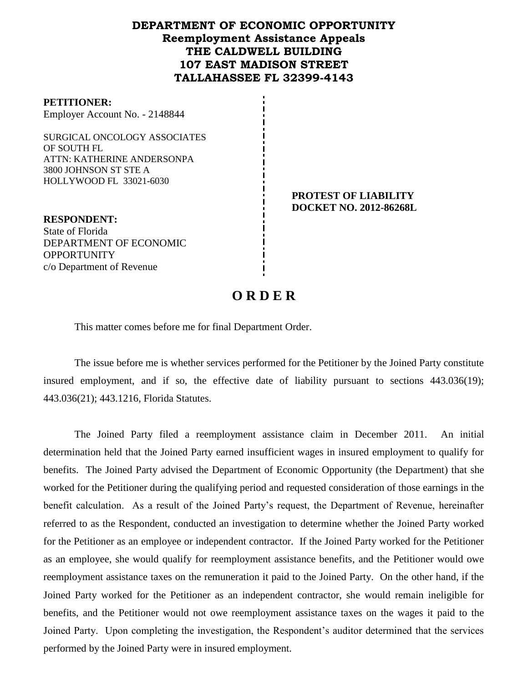## **DEPARTMENT OF ECONOMIC OPPORTUNITY Reemployment Assistance Appeals THE CALDWELL BUILDING 107 EAST MADISON STREET TALLAHASSEE FL 32399-4143**

#### **PETITIONER:**

Employer Account No. - 2148844

SURGICAL ONCOLOGY ASSOCIATES OF SOUTH FL ATTN: KATHERINE ANDERSONPA 3800 JOHNSON ST STE A HOLLYWOOD FL 33021-6030

> **PROTEST OF LIABILITY DOCKET NO. 2012-86268L**

**RESPONDENT:** State of Florida DEPARTMENT OF ECONOMIC **OPPORTUNITY** c/o Department of Revenue

# **O R D E R**

This matter comes before me for final Department Order.

The issue before me is whether services performed for the Petitioner by the Joined Party constitute insured employment, and if so, the effective date of liability pursuant to sections 443.036(19); 443.036(21); 443.1216, Florida Statutes.

The Joined Party filed a reemployment assistance claim in December 2011.An initial determination held that the Joined Party earned insufficient wages in insured employment to qualify for benefits. The Joined Party advised the Department of Economic Opportunity (the Department) that she worked for the Petitioner during the qualifying period and requested consideration of those earnings in the benefit calculation. As a result of the Joined Party's request, the Department of Revenue, hereinafter referred to as the Respondent, conducted an investigation to determine whether the Joined Party worked for the Petitioner as an employee or independent contractor. If the Joined Party worked for the Petitioner as an employee, she would qualify for reemployment assistance benefits, and the Petitioner would owe reemployment assistance taxes on the remuneration it paid to the Joined Party. On the other hand, if the Joined Party worked for the Petitioner as an independent contractor, she would remain ineligible for benefits, and the Petitioner would not owe reemployment assistance taxes on the wages it paid to the Joined Party. Upon completing the investigation, the Respondent's auditor determined that the services performed by the Joined Party were in insured employment.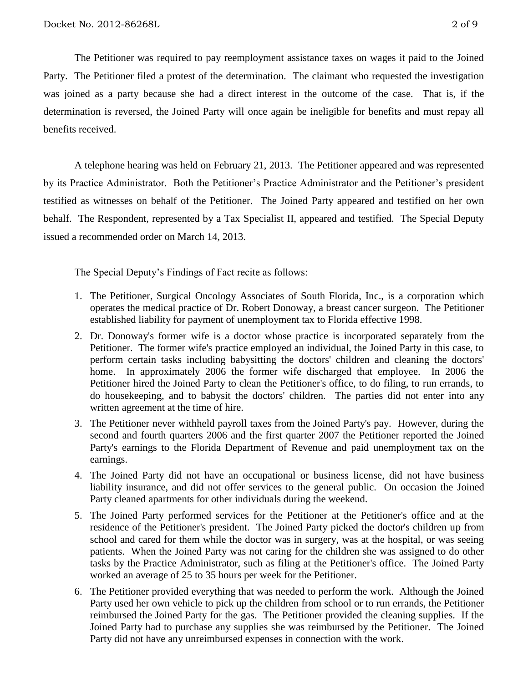The Petitioner was required to pay reemployment assistance taxes on wages it paid to the Joined Party. The Petitioner filed a protest of the determination. The claimant who requested the investigation was joined as a party because she had a direct interest in the outcome of the case. That is, if the determination is reversed, the Joined Party will once again be ineligible for benefits and must repay all benefits received.

A telephone hearing was held on February 21, 2013.The Petitioner appeared and was represented by its Practice Administrator. Both the Petitioner's Practice Administrator and the Petitioner's president testified as witnesses on behalf of the Petitioner. The Joined Party appeared and testified on her own behalf. The Respondent, represented by a Tax Specialist II, appeared and testified. The Special Deputy issued a recommended order on March 14, 2013.

The Special Deputy's Findings of Fact recite as follows:

- 1. The Petitioner, Surgical Oncology Associates of South Florida, Inc., is a corporation which operates the medical practice of Dr. Robert Donoway, a breast cancer surgeon. The Petitioner established liability for payment of unemployment tax to Florida effective 1998.
- 2. Dr. Donoway's former wife is a doctor whose practice is incorporated separately from the Petitioner. The former wife's practice employed an individual, the Joined Party in this case, to perform certain tasks including babysitting the doctors' children and cleaning the doctors' home. In approximately 2006 the former wife discharged that employee. In 2006 the Petitioner hired the Joined Party to clean the Petitioner's office, to do filing, to run errands, to do housekeeping, and to babysit the doctors' children. The parties did not enter into any written agreement at the time of hire.
- 3. The Petitioner never withheld payroll taxes from the Joined Party's pay. However, during the second and fourth quarters 2006 and the first quarter 2007 the Petitioner reported the Joined Party's earnings to the Florida Department of Revenue and paid unemployment tax on the earnings.
- 4. The Joined Party did not have an occupational or business license, did not have business liability insurance, and did not offer services to the general public. On occasion the Joined Party cleaned apartments for other individuals during the weekend.
- 5. The Joined Party performed services for the Petitioner at the Petitioner's office and at the residence of the Petitioner's president. The Joined Party picked the doctor's children up from school and cared for them while the doctor was in surgery, was at the hospital, or was seeing patients. When the Joined Party was not caring for the children she was assigned to do other tasks by the Practice Administrator, such as filing at the Petitioner's office. The Joined Party worked an average of 25 to 35 hours per week for the Petitioner.
- 6. The Petitioner provided everything that was needed to perform the work. Although the Joined Party used her own vehicle to pick up the children from school or to run errands, the Petitioner reimbursed the Joined Party for the gas. The Petitioner provided the cleaning supplies. If the Joined Party had to purchase any supplies she was reimbursed by the Petitioner. The Joined Party did not have any unreimbursed expenses in connection with the work.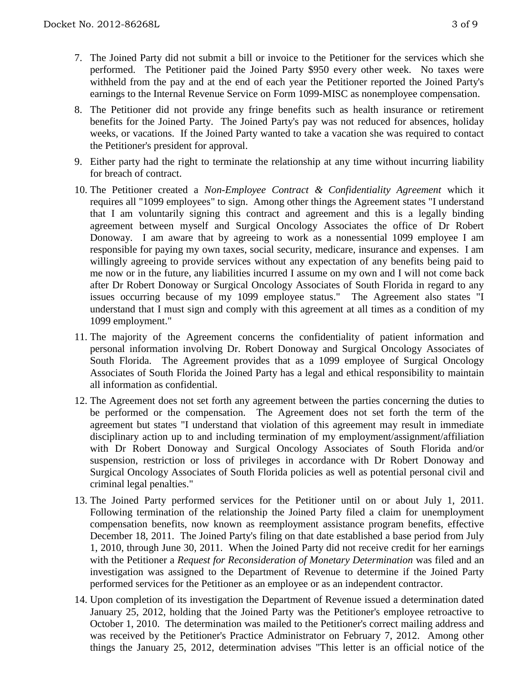- 7. The Joined Party did not submit a bill or invoice to the Petitioner for the services which she performed. The Petitioner paid the Joined Party \$950 every other week. No taxes were withheld from the pay and at the end of each year the Petitioner reported the Joined Party's earnings to the Internal Revenue Service on Form 1099-MISC as nonemployee compensation.
- 8. The Petitioner did not provide any fringe benefits such as health insurance or retirement benefits for the Joined Party. The Joined Party's pay was not reduced for absences, holiday weeks, or vacations. If the Joined Party wanted to take a vacation she was required to contact the Petitioner's president for approval.
- 9. Either party had the right to terminate the relationship at any time without incurring liability for breach of contract.
- 10. The Petitioner created a *Non-Employee Contract & Confidentiality Agreement* which it requires all "1099 employees" to sign. Among other things the Agreement states "I understand that I am voluntarily signing this contract and agreement and this is a legally binding agreement between myself and Surgical Oncology Associates the office of Dr Robert Donoway. I am aware that by agreeing to work as a nonessential 1099 employee I am responsible for paying my own taxes, social security, medicare, insurance and expenses. I am willingly agreeing to provide services without any expectation of any benefits being paid to me now or in the future, any liabilities incurred I assume on my own and I will not come back after Dr Robert Donoway or Surgical Oncology Associates of South Florida in regard to any issues occurring because of my 1099 employee status." The Agreement also states "I understand that I must sign and comply with this agreement at all times as a condition of my 1099 employment."
- 11. The majority of the Agreement concerns the confidentiality of patient information and personal information involving Dr. Robert Donoway and Surgical Oncology Associates of South Florida. The Agreement provides that as a 1099 employee of Surgical Oncology Associates of South Florida the Joined Party has a legal and ethical responsibility to maintain all information as confidential.
- 12. The Agreement does not set forth any agreement between the parties concerning the duties to be performed or the compensation. The Agreement does not set forth the term of the agreement but states "I understand that violation of this agreement may result in immediate disciplinary action up to and including termination of my employment/assignment/affiliation with Dr Robert Donoway and Surgical Oncology Associates of South Florida and/or suspension, restriction or loss of privileges in accordance with Dr Robert Donoway and Surgical Oncology Associates of South Florida policies as well as potential personal civil and criminal legal penalties."
- 13. The Joined Party performed services for the Petitioner until on or about July 1, 2011. Following termination of the relationship the Joined Party filed a claim for unemployment compensation benefits, now known as reemployment assistance program benefits, effective December 18, 2011. The Joined Party's filing on that date established a base period from July 1, 2010, through June 30, 2011. When the Joined Party did not receive credit for her earnings with the Petitioner a *Request for Reconsideration of Monetary Determination* was filed and an investigation was assigned to the Department of Revenue to determine if the Joined Party performed services for the Petitioner as an employee or as an independent contractor.
- 14. Upon completion of its investigation the Department of Revenue issued a determination dated January 25, 2012, holding that the Joined Party was the Petitioner's employee retroactive to October 1, 2010. The determination was mailed to the Petitioner's correct mailing address and was received by the Petitioner's Practice Administrator on February 7, 2012. Among other things the January 25, 2012, determination advises "This letter is an official notice of the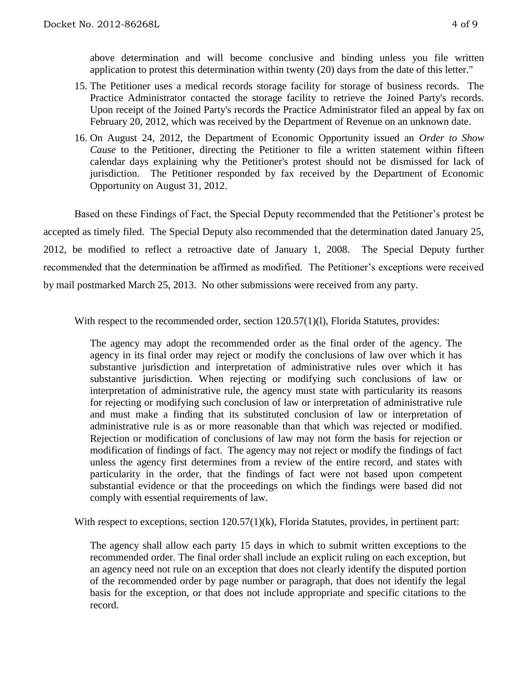above determination and will become conclusive and binding unless you file written application to protest this determination within twenty (20) days from the date of this letter."

- 15. The Petitioner uses a medical records storage facility for storage of business records. The Practice Administrator contacted the storage facility to retrieve the Joined Party's records. Upon receipt of the Joined Party's records the Practice Administrator filed an appeal by fax on February 20, 2012, which was received by the Department of Revenue on an unknown date.
- 16. On August 24, 2012, the Department of Economic Opportunity issued an *Order to Show Cause* to the Petitioner, directing the Petitioner to file a written statement within fifteen calendar days explaining why the Petitioner's protest should not be dismissed for lack of jurisdiction. The Petitioner responded by fax received by the Department of Economic Opportunity on August 31, 2012.

Based on these Findings of Fact, the Special Deputy recommended that the Petitioner's protest be accepted as timely filed. The Special Deputy also recommended that the determination dated January 25, 2012, be modified to reflect a retroactive date of January 1, 2008. The Special Deputy further recommended that the determination be affirmed as modified. The Petitioner's exceptions were received by mail postmarked March 25, 2013. No other submissions were received from any party.

With respect to the recommended order, section 120.57(1)(1), Florida Statutes, provides:

The agency may adopt the recommended order as the final order of the agency. The agency in its final order may reject or modify the conclusions of law over which it has substantive jurisdiction and interpretation of administrative rules over which it has substantive jurisdiction. When rejecting or modifying such conclusions of law or interpretation of administrative rule, the agency must state with particularity its reasons for rejecting or modifying such conclusion of law or interpretation of administrative rule and must make a finding that its substituted conclusion of law or interpretation of administrative rule is as or more reasonable than that which was rejected or modified. Rejection or modification of conclusions of law may not form the basis for rejection or modification of findings of fact. The agency may not reject or modify the findings of fact unless the agency first determines from a review of the entire record, and states with particularity in the order, that the findings of fact were not based upon competent substantial evidence or that the proceedings on which the findings were based did not comply with essential requirements of law.

With respect to exceptions, section 120.57(1)(k), Florida Statutes, provides, in pertinent part:

The agency shall allow each party 15 days in which to submit written exceptions to the recommended order. The final order shall include an explicit ruling on each exception, but an agency need not rule on an exception that does not clearly identify the disputed portion of the recommended order by page number or paragraph, that does not identify the legal basis for the exception, or that does not include appropriate and specific citations to the record.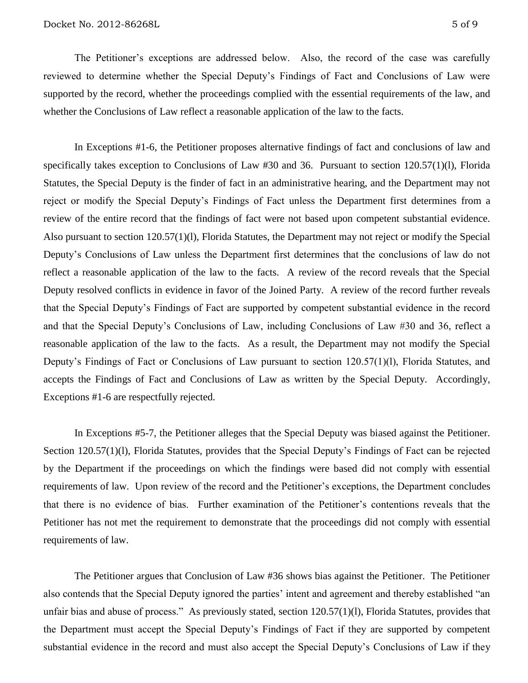The Petitioner's exceptions are addressed below. Also, the record of the case was carefully reviewed to determine whether the Special Deputy's Findings of Fact and Conclusions of Law were supported by the record, whether the proceedings complied with the essential requirements of the law, and whether the Conclusions of Law reflect a reasonable application of the law to the facts.

In Exceptions #1-6, the Petitioner proposes alternative findings of fact and conclusions of law and specifically takes exception to Conclusions of Law #30 and 36. Pursuant to section 120.57(1)(l), Florida Statutes, the Special Deputy is the finder of fact in an administrative hearing, and the Department may not reject or modify the Special Deputy's Findings of Fact unless the Department first determines from a review of the entire record that the findings of fact were not based upon competent substantial evidence. Also pursuant to section 120.57(1)(l), Florida Statutes, the Department may not reject or modify the Special Deputy's Conclusions of Law unless the Department first determines that the conclusions of law do not reflect a reasonable application of the law to the facts. A review of the record reveals that the Special Deputy resolved conflicts in evidence in favor of the Joined Party. A review of the record further reveals that the Special Deputy's Findings of Fact are supported by competent substantial evidence in the record and that the Special Deputy's Conclusions of Law, including Conclusions of Law #30 and 36, reflect a reasonable application of the law to the facts. As a result, the Department may not modify the Special Deputy's Findings of Fact or Conclusions of Law pursuant to section 120.57(1)(l), Florida Statutes, and accepts the Findings of Fact and Conclusions of Law as written by the Special Deputy. Accordingly, Exceptions #1-6 are respectfully rejected.

In Exceptions #5-7, the Petitioner alleges that the Special Deputy was biased against the Petitioner. Section 120.57(1)(l), Florida Statutes, provides that the Special Deputy's Findings of Fact can be rejected by the Department if the proceedings on which the findings were based did not comply with essential requirements of law. Upon review of the record and the Petitioner's exceptions, the Department concludes that there is no evidence of bias. Further examination of the Petitioner's contentions reveals that the Petitioner has not met the requirement to demonstrate that the proceedings did not comply with essential requirements of law.

The Petitioner argues that Conclusion of Law #36 shows bias against the Petitioner. The Petitioner also contends that the Special Deputy ignored the parties' intent and agreement and thereby established "an unfair bias and abuse of process." As previously stated, section 120.57(1)(l), Florida Statutes, provides that the Department must accept the Special Deputy's Findings of Fact if they are supported by competent substantial evidence in the record and must also accept the Special Deputy's Conclusions of Law if they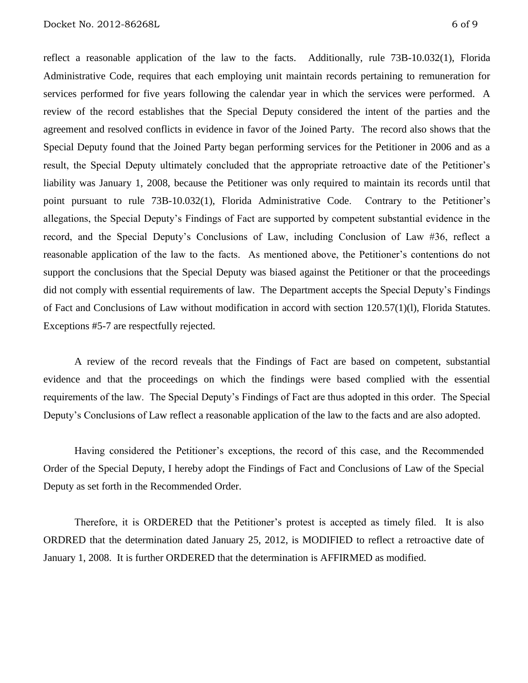reflect a reasonable application of the law to the facts. Additionally, rule 73B-10.032(1), Florida Administrative Code, requires that each employing unit maintain records pertaining to remuneration for services performed for five years following the calendar year in which the services were performed. A review of the record establishes that the Special Deputy considered the intent of the parties and the agreement and resolved conflicts in evidence in favor of the Joined Party. The record also shows that the Special Deputy found that the Joined Party began performing services for the Petitioner in 2006 and as a result, the Special Deputy ultimately concluded that the appropriate retroactive date of the Petitioner's liability was January 1, 2008, because the Petitioner was only required to maintain its records until that point pursuant to rule 73B-10.032(1), Florida Administrative Code. Contrary to the Petitioner's allegations, the Special Deputy's Findings of Fact are supported by competent substantial evidence in the record, and the Special Deputy's Conclusions of Law, including Conclusion of Law #36, reflect a reasonable application of the law to the facts. As mentioned above, the Petitioner's contentions do not support the conclusions that the Special Deputy was biased against the Petitioner or that the proceedings did not comply with essential requirements of law. The Department accepts the Special Deputy's Findings of Fact and Conclusions of Law without modification in accord with section 120.57(1)(l), Florida Statutes. Exceptions #5-7 are respectfully rejected.

A review of the record reveals that the Findings of Fact are based on competent, substantial evidence and that the proceedings on which the findings were based complied with the essential requirements of the law. The Special Deputy's Findings of Fact are thus adopted in this order. The Special Deputy's Conclusions of Law reflect a reasonable application of the law to the facts and are also adopted.

Having considered the Petitioner's exceptions, the record of this case, and the Recommended Order of the Special Deputy, I hereby adopt the Findings of Fact and Conclusions of Law of the Special Deputy as set forth in the Recommended Order.

Therefore, it is ORDERED that the Petitioner's protest is accepted as timely filed. It is also ORDRED that the determination dated January 25, 2012, is MODIFIED to reflect a retroactive date of January 1, 2008. It is further ORDERED that the determination is AFFIRMED as modified.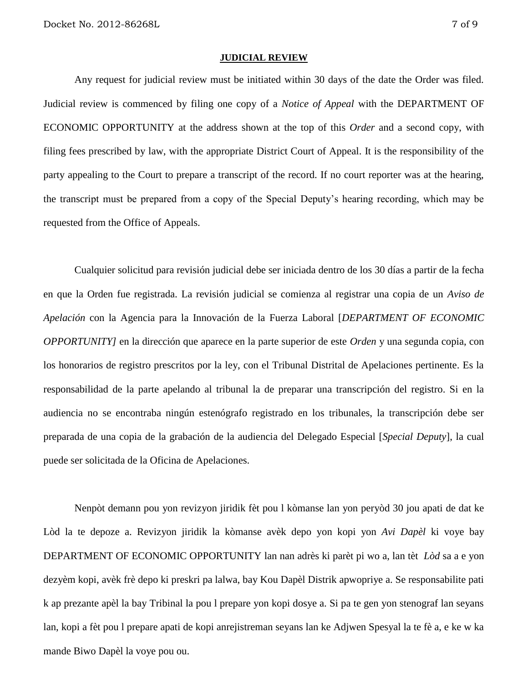#### **JUDICIAL REVIEW**

Any request for judicial review must be initiated within 30 days of the date the Order was filed. Judicial review is commenced by filing one copy of a *Notice of Appeal* with the DEPARTMENT OF ECONOMIC OPPORTUNITY at the address shown at the top of this *Order* and a second copy, with filing fees prescribed by law, with the appropriate District Court of Appeal. It is the responsibility of the party appealing to the Court to prepare a transcript of the record. If no court reporter was at the hearing, the transcript must be prepared from a copy of the Special Deputy's hearing recording, which may be requested from the Office of Appeals.

Cualquier solicitud para revisión judicial debe ser iniciada dentro de los 30 días a partir de la fecha en que la Orden fue registrada. La revisión judicial se comienza al registrar una copia de un *Aviso de Apelación* con la Agencia para la Innovación de la Fuerza Laboral [*DEPARTMENT OF ECONOMIC OPPORTUNITY]* en la dirección que aparece en la parte superior de este *Orden* y una segunda copia, con los honorarios de registro prescritos por la ley, con el Tribunal Distrital de Apelaciones pertinente. Es la responsabilidad de la parte apelando al tribunal la de preparar una transcripción del registro. Si en la audiencia no se encontraba ningún estenógrafo registrado en los tribunales, la transcripción debe ser preparada de una copia de la grabación de la audiencia del Delegado Especial [*Special Deputy*], la cual puede ser solicitada de la Oficina de Apelaciones.

Nenpòt demann pou yon revizyon jiridik fèt pou l kòmanse lan yon peryòd 30 jou apati de dat ke Lòd la te depoze a. Revizyon jiridik la kòmanse avèk depo yon kopi yon *Avi Dapèl* ki voye bay DEPARTMENT OF ECONOMIC OPPORTUNITY lan nan adrès ki parèt pi wo a, lan tèt *Lòd* sa a e yon dezyèm kopi, avèk frè depo ki preskri pa lalwa, bay Kou Dapèl Distrik apwopriye a. Se responsabilite pati k ap prezante apèl la bay Tribinal la pou l prepare yon kopi dosye a. Si pa te gen yon stenograf lan seyans lan, kopi a fèt pou l prepare apati de kopi anrejistreman seyans lan ke Adjwen Spesyal la te fè a, e ke w ka mande Biwo Dapèl la voye pou ou.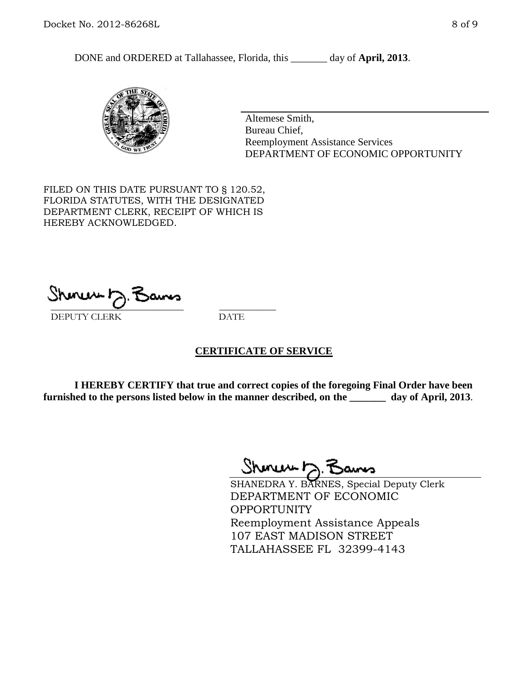DONE and ORDERED at Tallahassee, Florida, this \_\_\_\_\_\_\_ day of **April, 2013**.



Altemese Smith, Bureau Chief, Reemployment Assistance Services DEPARTMENT OF ECONOMIC OPPORTUNITY

FILED ON THIS DATE PURSUANT TO § 120.52, FLORIDA STATUTES, WITH THE DESIGNATED DEPARTMENT CLERK, RECEIPT OF WHICH IS HEREBY ACKNOWLEDGED.

 $\overline{\phantom{a}}$  ,  $\overline{\phantom{a}}$  ,  $\overline{\phantom{a}}$  ,  $\overline{\phantom{a}}$  ,  $\overline{\phantom{a}}$  ,  $\overline{\phantom{a}}$  ,  $\overline{\phantom{a}}$  ,  $\overline{\phantom{a}}$ DEPUTY CLERK DATE

### **CERTIFICATE OF SERVICE**

**I HEREBY CERTIFY that true and correct copies of the foregoing Final Order have been furnished to the persons listed below in the manner described, on the \_\_\_\_\_\_\_ day of April, 2013**.

 $ShmumE, F$ 

SHANEDRA Y. BARNES, Special Deputy Clerk DEPARTMENT OF ECONOMIC **OPPORTUNITY** Reemployment Assistance Appeals 107 EAST MADISON STREET TALLAHASSEE FL 32399-4143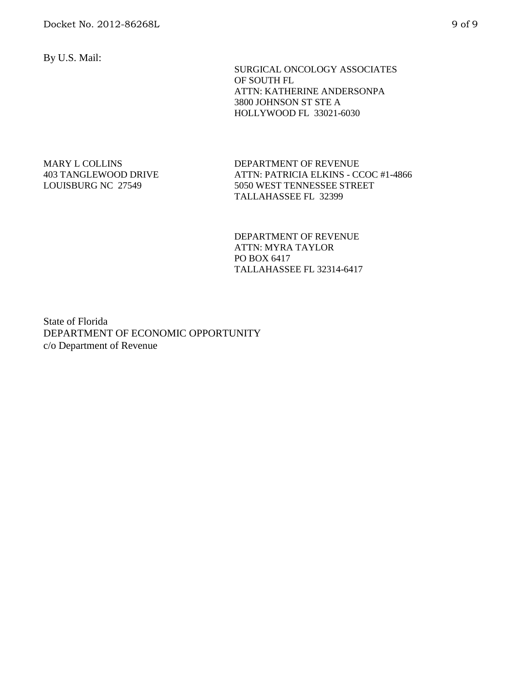By U.S. Mail:

 SURGICAL ONCOLOGY ASSOCIATES OF SOUTH FL ATTN: KATHERINE ANDERSONPA 3800 JOHNSON ST STE A HOLLYWOOD FL 33021-6030

#### MARY L COLLINS 403 TANGLEWOOD DRIVE LOUISBURG NC 27549

DEPARTMENT OF REVENUE ATTN: PATRICIA ELKINS - CCOC #1-4866 5050 WEST TENNESSEE STREET TALLAHASSEE FL 32399

DEPARTMENT OF REVENUE ATTN: MYRA TAYLOR PO BOX 6417 TALLAHASSEE FL 32314-6417

State of Florida DEPARTMENT OF ECONOMIC OPPORTUNITY c/o Department of Revenue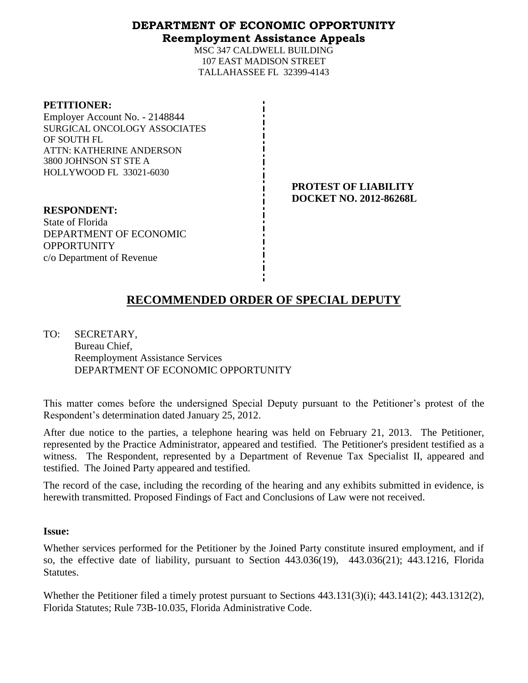### **DEPARTMENT OF ECONOMIC OPPORTUNITY Reemployment Assistance Appeals**

MSC 347 CALDWELL BUILDING 107 EAST MADISON STREET TALLAHASSEE FL 32399-4143

| <b>PETITIONER:</b> |
|--------------------|
|--------------------|

Employer Account No. - 2148844 SURGICAL ONCOLOGY ASSOCIATES OF SOUTH FL ATTN: KATHERINE ANDERSON 3800 JOHNSON ST STE A HOLLYWOOD FL 33021-6030

> **PROTEST OF LIABILITY DOCKET NO. 2012-86268L**

**RESPONDENT:** State of Florida DEPARTMENT OF ECONOMIC **OPPORTUNITY** c/o Department of Revenue

# **RECOMMENDED ORDER OF SPECIAL DEPUTY**

TO: SECRETARY, Bureau Chief, Reemployment Assistance Services DEPARTMENT OF ECONOMIC OPPORTUNITY

This matter comes before the undersigned Special Deputy pursuant to the Petitioner's protest of the Respondent's determination dated January 25, 2012.

After due notice to the parties, a telephone hearing was held on February 21, 2013. The Petitioner, represented by the Practice Administrator, appeared and testified. The Petitioner's president testified as a witness. The Respondent, represented by a Department of Revenue Tax Specialist II, appeared and testified. The Joined Party appeared and testified.

The record of the case, including the recording of the hearing and any exhibits submitted in evidence, is herewith transmitted. Proposed Findings of Fact and Conclusions of Law were not received.

### **Issue:**

Whether services performed for the Petitioner by the Joined Party constitute insured employment, and if so, the effective date of liability, pursuant to Section 443.036(19), 443.036(21); 443.1216, Florida Statutes.

Whether the Petitioner filed a timely protest pursuant to Sections 443.131(3)(i); 443.141(2); 443.1312(2), Florida Statutes; Rule 73B-10.035, Florida Administrative Code.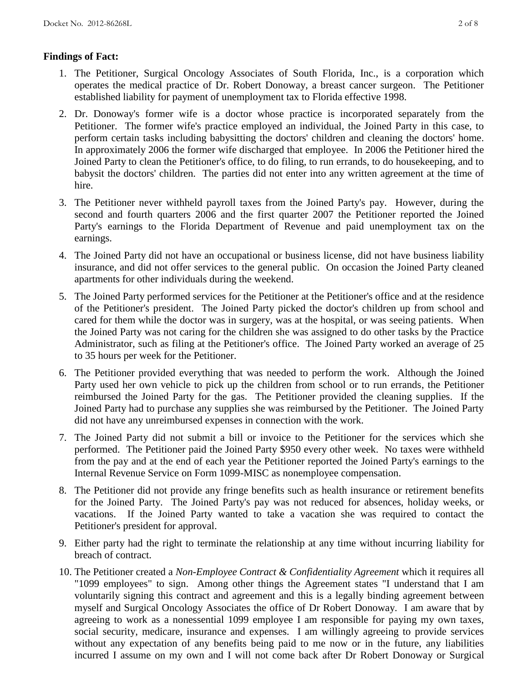## **Findings of Fact:**

- 1. The Petitioner, Surgical Oncology Associates of South Florida, Inc., is a corporation which operates the medical practice of Dr. Robert Donoway, a breast cancer surgeon. The Petitioner established liability for payment of unemployment tax to Florida effective 1998.
- 2. Dr. Donoway's former wife is a doctor whose practice is incorporated separately from the Petitioner. The former wife's practice employed an individual, the Joined Party in this case, to perform certain tasks including babysitting the doctors' children and cleaning the doctors' home. In approximately 2006 the former wife discharged that employee. In 2006 the Petitioner hired the Joined Party to clean the Petitioner's office, to do filing, to run errands, to do housekeeping, and to babysit the doctors' children. The parties did not enter into any written agreement at the time of hire.
- 3. The Petitioner never withheld payroll taxes from the Joined Party's pay. However, during the second and fourth quarters 2006 and the first quarter 2007 the Petitioner reported the Joined Party's earnings to the Florida Department of Revenue and paid unemployment tax on the earnings.
- 4. The Joined Party did not have an occupational or business license, did not have business liability insurance, and did not offer services to the general public. On occasion the Joined Party cleaned apartments for other individuals during the weekend.
- 5. The Joined Party performed services for the Petitioner at the Petitioner's office and at the residence of the Petitioner's president. The Joined Party picked the doctor's children up from school and cared for them while the doctor was in surgery, was at the hospital, or was seeing patients. When the Joined Party was not caring for the children she was assigned to do other tasks by the Practice Administrator, such as filing at the Petitioner's office. The Joined Party worked an average of 25 to 35 hours per week for the Petitioner.
- 6. The Petitioner provided everything that was needed to perform the work. Although the Joined Party used her own vehicle to pick up the children from school or to run errands, the Petitioner reimbursed the Joined Party for the gas. The Petitioner provided the cleaning supplies. If the Joined Party had to purchase any supplies she was reimbursed by the Petitioner. The Joined Party did not have any unreimbursed expenses in connection with the work.
- 7. The Joined Party did not submit a bill or invoice to the Petitioner for the services which she performed. The Petitioner paid the Joined Party \$950 every other week. No taxes were withheld from the pay and at the end of each year the Petitioner reported the Joined Party's earnings to the Internal Revenue Service on Form 1099-MISC as nonemployee compensation.
- 8. The Petitioner did not provide any fringe benefits such as health insurance or retirement benefits for the Joined Party. The Joined Party's pay was not reduced for absences, holiday weeks, or vacations. If the Joined Party wanted to take a vacation she was required to contact the Petitioner's president for approval.
- 9. Either party had the right to terminate the relationship at any time without incurring liability for breach of contract.
- 10. The Petitioner created a *Non-Employee Contract & Confidentiality Agreement* which it requires all "1099 employees" to sign. Among other things the Agreement states "I understand that I am voluntarily signing this contract and agreement and this is a legally binding agreement between myself and Surgical Oncology Associates the office of Dr Robert Donoway. I am aware that by agreeing to work as a nonessential 1099 employee I am responsible for paying my own taxes, social security, medicare, insurance and expenses. I am willingly agreeing to provide services without any expectation of any benefits being paid to me now or in the future, any liabilities incurred I assume on my own and I will not come back after Dr Robert Donoway or Surgical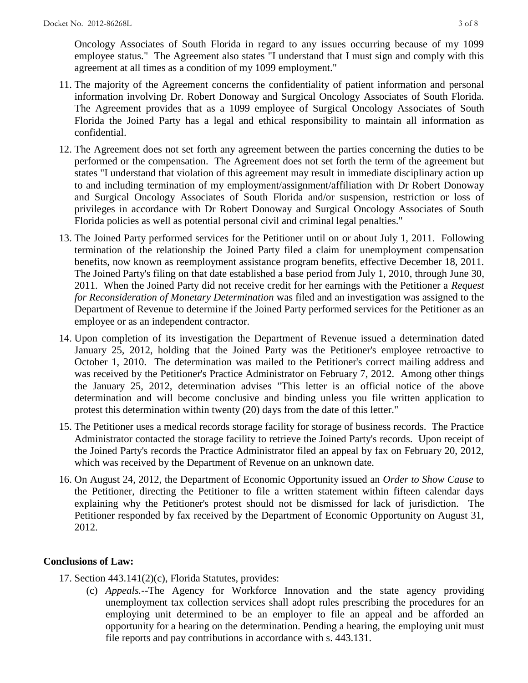Oncology Associates of South Florida in regard to any issues occurring because of my 1099 employee status." The Agreement also states "I understand that I must sign and comply with this agreement at all times as a condition of my 1099 employment."

- 11. The majority of the Agreement concerns the confidentiality of patient information and personal information involving Dr. Robert Donoway and Surgical Oncology Associates of South Florida. The Agreement provides that as a 1099 employee of Surgical Oncology Associates of South Florida the Joined Party has a legal and ethical responsibility to maintain all information as confidential.
- 12. The Agreement does not set forth any agreement between the parties concerning the duties to be performed or the compensation. The Agreement does not set forth the term of the agreement but states "I understand that violation of this agreement may result in immediate disciplinary action up to and including termination of my employment/assignment/affiliation with Dr Robert Donoway and Surgical Oncology Associates of South Florida and/or suspension, restriction or loss of privileges in accordance with Dr Robert Donoway and Surgical Oncology Associates of South Florida policies as well as potential personal civil and criminal legal penalties."
- 13. The Joined Party performed services for the Petitioner until on or about July 1, 2011. Following termination of the relationship the Joined Party filed a claim for unemployment compensation benefits, now known as reemployment assistance program benefits, effective December 18, 2011. The Joined Party's filing on that date established a base period from July 1, 2010, through June 30, 2011. When the Joined Party did not receive credit for her earnings with the Petitioner a *Request for Reconsideration of Monetary Determination* was filed and an investigation was assigned to the Department of Revenue to determine if the Joined Party performed services for the Petitioner as an employee or as an independent contractor.
- 14. Upon completion of its investigation the Department of Revenue issued a determination dated January 25, 2012, holding that the Joined Party was the Petitioner's employee retroactive to October 1, 2010. The determination was mailed to the Petitioner's correct mailing address and was received by the Petitioner's Practice Administrator on February 7, 2012. Among other things the January 25, 2012, determination advises "This letter is an official notice of the above determination and will become conclusive and binding unless you file written application to protest this determination within twenty (20) days from the date of this letter."
- 15. The Petitioner uses a medical records storage facility for storage of business records. The Practice Administrator contacted the storage facility to retrieve the Joined Party's records. Upon receipt of the Joined Party's records the Practice Administrator filed an appeal by fax on February 20, 2012, which was received by the Department of Revenue on an unknown date.
- 16. On August 24, 2012, the Department of Economic Opportunity issued an *Order to Show Cause* to the Petitioner, directing the Petitioner to file a written statement within fifteen calendar days explaining why the Petitioner's protest should not be dismissed for lack of jurisdiction. The Petitioner responded by fax received by the Department of Economic Opportunity on August 31, 2012.

## **Conclusions of Law:**

17. Section 443.141(2)(c), Florida Statutes, provides:

(c) *Appeals.*--The Agency for Workforce Innovation and the state agency providing unemployment tax collection services shall adopt rules prescribing the procedures for an employing unit determined to be an employer to file an appeal and be afforded an opportunity for a hearing on the determination. Pending a hearing, the employing unit must file reports and pay contributions in accordance with s. 443.131.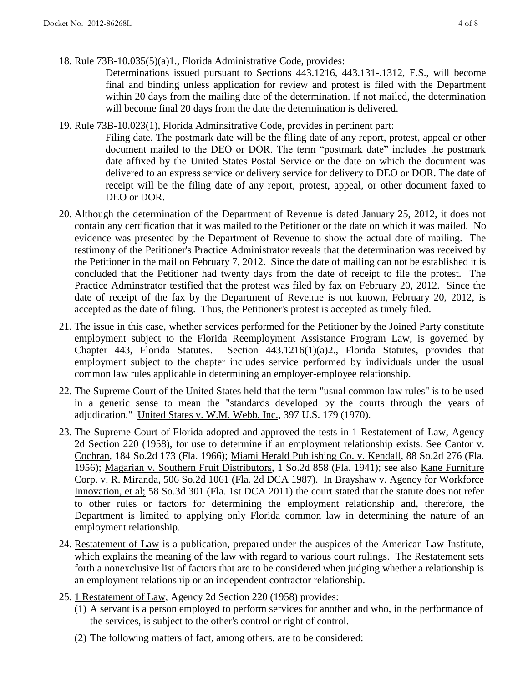18. Rule 73B-10.035(5)(a)1., Florida Administrative Code, provides:

Determinations issued pursuant to Sections 443.1216, 443.131-.1312, F.S., will become final and binding unless application for review and protest is filed with the Department within 20 days from the mailing date of the determination. If not mailed, the determination will become final 20 days from the date the determination is delivered.

- 19. Rule 73B-10.023(1), Florida Adminsitrative Code, provides in pertinent part:
	- Filing date. The postmark date will be the filing date of any report, protest, appeal or other document mailed to the DEO or DOR. The term "postmark date" includes the postmark date affixed by the United States Postal Service or the date on which the document was delivered to an express service or delivery service for delivery to DEO or DOR. The date of receipt will be the filing date of any report, protest, appeal, or other document faxed to DEO or DOR.
- 20. Although the determination of the Department of Revenue is dated January 25, 2012, it does not contain any certification that it was mailed to the Petitioner or the date on which it was mailed. No evidence was presented by the Department of Revenue to show the actual date of mailing. The testimony of the Petitioner's Practice Administrator reveals that the determination was received by the Petitioner in the mail on February 7, 2012. Since the date of mailing can not be established it is concluded that the Petitioner had twenty days from the date of receipt to file the protest. The Practice Adminstrator testified that the protest was filed by fax on February 20, 2012. Since the date of receipt of the fax by the Department of Revenue is not known, February 20, 2012, is accepted as the date of filing. Thus, the Petitioner's protest is accepted as timely filed.
- 21. The issue in this case, whether services performed for the Petitioner by the Joined Party constitute employment subject to the Florida Reemployment Assistance Program Law, is governed by Chapter 443, Florida Statutes. Section 443.1216(1)(a)2., Florida Statutes, provides that employment subject to the chapter includes service performed by individuals under the usual common law rules applicable in determining an employer-employee relationship.
- 22. The Supreme Court of the United States held that the term "usual common law rules" is to be used in a generic sense to mean the "standards developed by the courts through the years of adjudication." United States v. W.M. Webb, Inc., 397 U.S. 179 (1970).
- 23. The Supreme Court of Florida adopted and approved the tests in 1 Restatement of Law, Agency 2d Section 220 (1958), for use to determine if an employment relationship exists. See Cantor v. Cochran, 184 So.2d 173 (Fla. 1966); Miami Herald Publishing Co. v. Kendall, 88 So.2d 276 (Fla. 1956); Magarian v. Southern Fruit Distributors, 1 So.2d 858 (Fla. 1941); see also Kane Furniture Corp. v. R. Miranda, 506 So.2d 1061 (Fla. 2d DCA 1987). In Brayshaw v. Agency for Workforce Innovation, et al; 58 So.3d 301 (Fla. 1st DCA 2011) the court stated that the statute does not refer to other rules or factors for determining the employment relationship and, therefore, the Department is limited to applying only Florida common law in determining the nature of an employment relationship.
- 24. Restatement of Law is a publication, prepared under the auspices of the American Law Institute, which explains the meaning of the law with regard to various court rulings. The Restatement sets forth a nonexclusive list of factors that are to be considered when judging whether a relationship is an employment relationship or an independent contractor relationship.
- 25. 1 Restatement of Law, Agency 2d Section 220 (1958) provides:
	- (1) A servant is a person employed to perform services for another and who, in the performance of the services, is subject to the other's control or right of control.
	- (2) The following matters of fact, among others, are to be considered: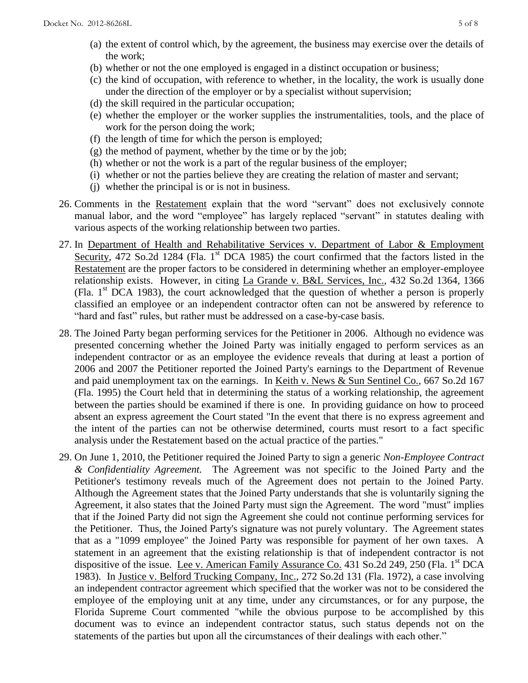- (a) the extent of control which, by the agreement, the business may exercise over the details of the work;
- (b) whether or not the one employed is engaged in a distinct occupation or business;
- (c) the kind of occupation, with reference to whether, in the locality, the work is usually done under the direction of the employer or by a specialist without supervision;
- (d) the skill required in the particular occupation;
- (e) whether the employer or the worker supplies the instrumentalities, tools, and the place of work for the person doing the work;
- (f) the length of time for which the person is employed;
- (g) the method of payment, whether by the time or by the job;
- (h) whether or not the work is a part of the regular business of the employer;
- (i) whether or not the parties believe they are creating the relation of master and servant;
- (j) whether the principal is or is not in business.
- 26. Comments in the Restatement explain that the word "servant" does not exclusively connote manual labor, and the word "employee" has largely replaced "servant" in statutes dealing with various aspects of the working relationship between two parties.
- 27. In Department of Health and Rehabilitative Services v. Department of Labor & Employment Security, 472 So.2d 1284 (Fla.  $1<sup>st</sup>$  DCA 1985) the court confirmed that the factors listed in the Restatement are the proper factors to be considered in determining whether an employer-employee relationship exists. However, in citing La Grande v. B&L Services, Inc., 432 So.2d 1364, 1366 (Fla.  $1<sup>st</sup> DCA$  1983), the court acknowledged that the question of whether a person is properly classified an employee or an independent contractor often can not be answered by reference to "hard and fast" rules, but rather must be addressed on a case-by-case basis.
- 28. The Joined Party began performing services for the Petitioner in 2006. Although no evidence was presented concerning whether the Joined Party was initially engaged to perform services as an independent contractor or as an employee the evidence reveals that during at least a portion of 2006 and 2007 the Petitioner reported the Joined Party's earnings to the Department of Revenue and paid unemployment tax on the earnings. In Keith v. News & Sun Sentinel Co., 667 So.2d 167 (Fla. 1995) the Court held that in determining the status of a working relationship, the agreement between the parties should be examined if there is one. In providing guidance on how to proceed absent an express agreement the Court stated "In the event that there is no express agreement and the intent of the parties can not be otherwise determined, courts must resort to a fact specific analysis under the Restatement based on the actual practice of the parties."
- 29. On June 1, 2010, the Petitioner required the Joined Party to sign a generic *Non-Employee Contract & Confidentiality Agreement.* The Agreement was not specific to the Joined Party and the Petitioner's testimony reveals much of the Agreement does not pertain to the Joined Party. Although the Agreement states that the Joined Party understands that she is voluntarily signing the Agreement, it also states that the Joined Party must sign the Agreement. The word "must" implies that if the Joined Party did not sign the Agreement she could not continue performing services for the Petitioner. Thus, the Joined Party's signature was not purely voluntary. The Agreement states that as a "1099 employee" the Joined Party was responsible for payment of her own taxes. A statement in an agreement that the existing relationship is that of independent contractor is not dispositive of the issue. Lee v. American Family Assurance Co. 431 So.2d 249, 250 (Fla. 1<sup>st</sup> DCA 1983). In Justice v. Belford Trucking Company, Inc., 272 So.2d 131 (Fla. 1972), a case involving an independent contractor agreement which specified that the worker was not to be considered the employee of the employing unit at any time, under any circumstances, or for any purpose, the Florida Supreme Court commented "while the obvious purpose to be accomplished by this document was to evince an independent contractor status, such status depends not on the statements of the parties but upon all the circumstances of their dealings with each other."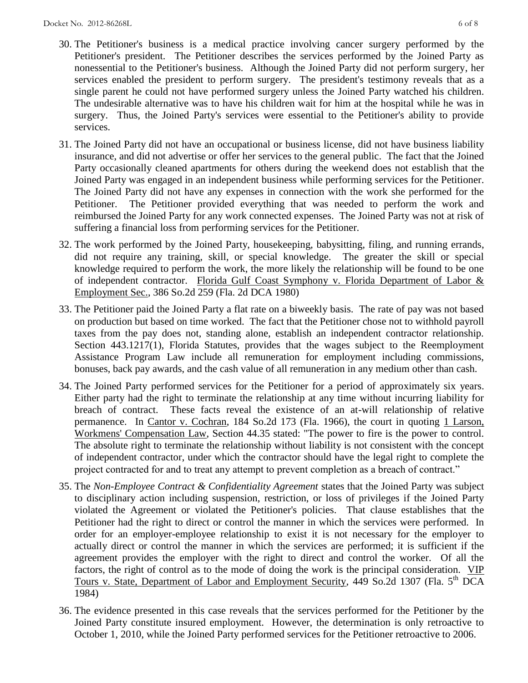- 30. The Petitioner's business is a medical practice involving cancer surgery performed by the Petitioner's president. The Petitioner describes the services performed by the Joined Party as nonessential to the Petitioner's business. Although the Joined Party did not perform surgery, her services enabled the president to perform surgery. The president's testimony reveals that as a single parent he could not have performed surgery unless the Joined Party watched his children. The undesirable alternative was to have his children wait for him at the hospital while he was in surgery. Thus, the Joined Party's services were essential to the Petitioner's ability to provide services.
- 31. The Joined Party did not have an occupational or business license, did not have business liability insurance, and did not advertise or offer her services to the general public. The fact that the Joined Party occasionally cleaned apartments for others during the weekend does not establish that the Joined Party was engaged in an independent business while performing services for the Petitioner. The Joined Party did not have any expenses in connection with the work she performed for the Petitioner. The Petitioner provided everything that was needed to perform the work and reimbursed the Joined Party for any work connected expenses. The Joined Party was not at risk of suffering a financial loss from performing services for the Petitioner.
- 32. The work performed by the Joined Party, housekeeping, babysitting, filing, and running errands, did not require any training, skill, or special knowledge. The greater the skill or special knowledge required to perform the work, the more likely the relationship will be found to be one of independent contractor. Florida Gulf Coast Symphony v. Florida Department of Labor & Employment Sec., 386 So.2d 259 (Fla. 2d DCA 1980)
- 33. The Petitioner paid the Joined Party a flat rate on a biweekly basis. The rate of pay was not based on production but based on time worked. The fact that the Petitioner chose not to withhold payroll taxes from the pay does not, standing alone, establish an independent contractor relationship. Section 443.1217(1), Florida Statutes, provides that the wages subject to the Reemployment Assistance Program Law include all remuneration for employment including commissions, bonuses, back pay awards, and the cash value of all remuneration in any medium other than cash.
- 34. The Joined Party performed services for the Petitioner for a period of approximately six years. Either party had the right to terminate the relationship at any time without incurring liability for breach of contract. These facts reveal the existence of an at-will relationship of relative permanence. In Cantor v. Cochran, 184 So.2d 173 (Fla. 1966), the court in quoting 1 Larson, Workmens' Compensation Law, Section 44.35 stated: "The power to fire is the power to control. The absolute right to terminate the relationship without liability is not consistent with the concept of independent contractor, under which the contractor should have the legal right to complete the project contracted for and to treat any attempt to prevent completion as a breach of contract."
- 35. The *Non-Employee Contract & Confidentiality Agreement* states that the Joined Party was subject to disciplinary action including suspension, restriction, or loss of privileges if the Joined Party violated the Agreement or violated the Petitioner's policies. That clause establishes that the Petitioner had the right to direct or control the manner in which the services were performed. In order for an employer-employee relationship to exist it is not necessary for the employer to actually direct or control the manner in which the services are performed; it is sufficient if the agreement provides the employer with the right to direct and control the worker. Of all the factors, the right of control as to the mode of doing the work is the principal consideration. VIP Tours v. State, Department of Labor and Employment Security, 449 So.2d 1307 (Fla. 5<sup>th</sup> DCA 1984)
- 36. The evidence presented in this case reveals that the services performed for the Petitioner by the Joined Party constitute insured employment. However, the determination is only retroactive to October 1, 2010, while the Joined Party performed services for the Petitioner retroactive to 2006.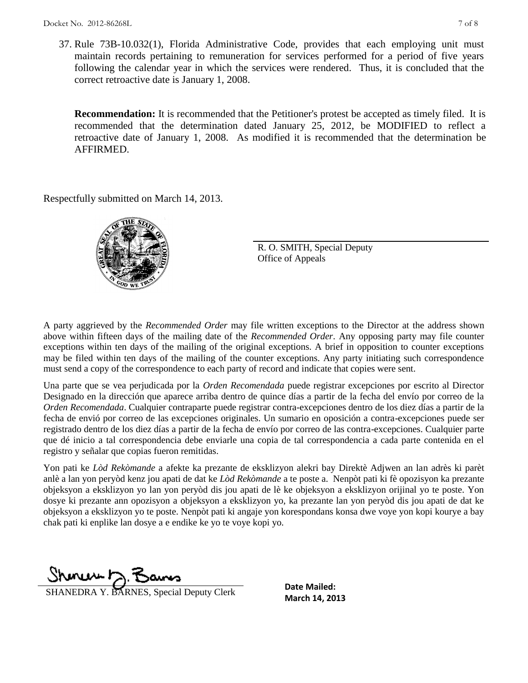37. Rule 73B-10.032(1), Florida Administrative Code, provides that each employing unit must maintain records pertaining to remuneration for services performed for a period of five years following the calendar year in which the services were rendered. Thus, it is concluded that the correct retroactive date is January 1, 2008.

**Recommendation:** It is recommended that the Petitioner's protest be accepted as timely filed. It is recommended that the determination dated January 25, 2012, be MODIFIED to reflect a retroactive date of January 1, 2008. As modified it is recommended that the determination be AFFIRMED.

Respectfully submitted on March 14, 2013.



R. O. SMITH, Special Deputy Office of Appeals

A party aggrieved by the *Recommended Order* may file written exceptions to the Director at the address shown above within fifteen days of the mailing date of the *Recommended Order*. Any opposing party may file counter exceptions within ten days of the mailing of the original exceptions. A brief in opposition to counter exceptions may be filed within ten days of the mailing of the counter exceptions. Any party initiating such correspondence must send a copy of the correspondence to each party of record and indicate that copies were sent.

Una parte que se vea perjudicada por la *Orden Recomendada* puede registrar excepciones por escrito al Director Designado en la dirección que aparece arriba dentro de quince días a partir de la fecha del envío por correo de la *Orden Recomendada*. Cualquier contraparte puede registrar contra-excepciones dentro de los diez días a partir de la fecha de envió por correo de las excepciones originales. Un sumario en oposición a contra-excepciones puede ser registrado dentro de los diez días a partir de la fecha de envío por correo de las contra-excepciones. Cualquier parte que dé inicio a tal correspondencia debe enviarle una copia de tal correspondencia a cada parte contenida en el registro y señalar que copias fueron remitidas.

Yon pati ke *Lòd Rekòmande* a afekte ka prezante de eksklizyon alekri bay Direktè Adjwen an lan adrès ki parèt anlè a lan yon peryòd kenz jou apati de dat ke *Lòd Rekòmande* a te poste a. Nenpòt pati ki fè opozisyon ka prezante objeksyon a eksklizyon yo lan yon peryòd dis jou apati de lè ke objeksyon a eksklizyon orijinal yo te poste. Yon dosye ki prezante ann opozisyon a objeksyon a eksklizyon yo, ka prezante lan yon peryòd dis jou apati de dat ke objeksyon a eksklizyon yo te poste. Nenpòt pati ki angaje yon korespondans konsa dwe voye yon kopi kourye a bay chak pati ki enplike lan dosye a e endike ke yo te voye kopi yo.

 $m \nu + \nabla$ 

**SHANEDRA Y. BARNES, Special Deputy Clerk** March 14, 2013

**Date Mailed:**